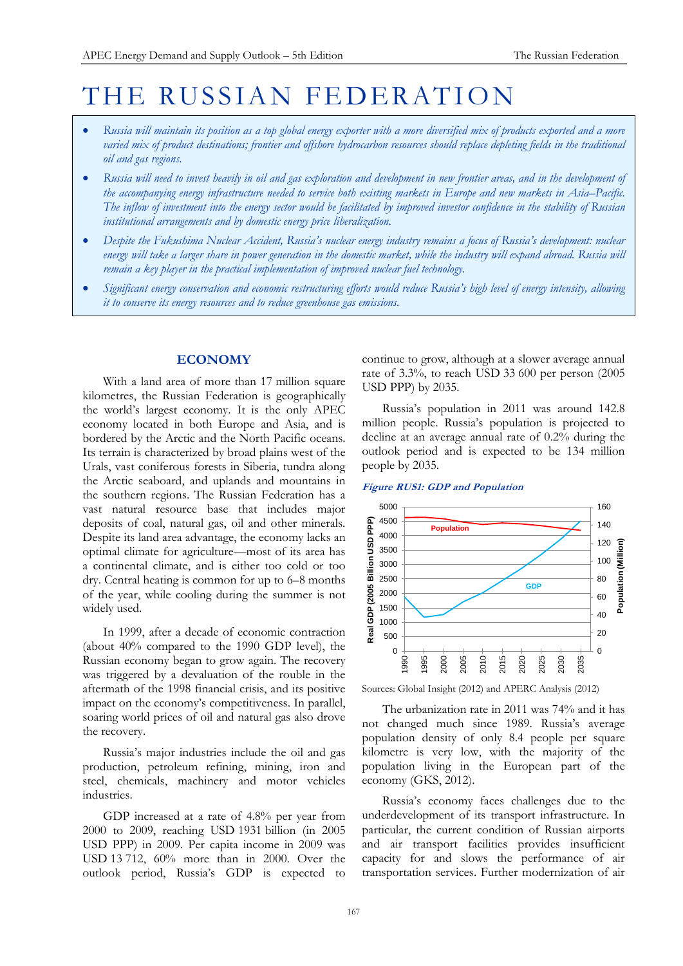# THE RUSSIAN FEDERATION

- *Russia will maintain its position as a top global energy exporter with a more diversified mix of products exported and a more varied mix of product destinations; frontier and offshore hydrocarbon resources should replace depleting fields in the traditional oil and gas regions.*
- *Russia will need to invest heavily in oil and gas exploration and development in new frontier areas, and in the development of the accompanying energy infrastructure needed to service both existing markets in Europe and new markets in Asia–Pacific. The inflow of investment into the energy sector would be facilitated by improved investor confidence in the stability of Russian institutional arrangements and by domestic energy price liberalization.*
- *Despite the Fukushima Nuclear Accident, Russia's nuclear energy industry remains a focus of Russia's development: nuclear energy will take a larger share in power generation in the domestic market, while the industry will expand abroad. Russia will remain a key player in the practical implementation of improved nuclear fuel technology.*
- *Significant energy conservation and economic restructuring efforts would reduce Russia's high level of energy intensity, allowing it to conserve its energy resources and to reduce greenhouse gas emissions.*

# **ECONOMY**

With a land area of more than 17 million square kilometres, the Russian Federation is geographically the world's largest economy. It is the only APEC economy located in both Europe and Asia, and is bordered by the Arctic and the North Pacific oceans. Its terrain is characterized by broad plains west of the Urals, vast coniferous forests in Siberia, tundra along the Arctic seaboard, and uplands and mountains in the southern regions. The Russian Federation has a vast natural resource base that includes major deposits of coal, natural gas, oil and other minerals. Despite its land area advantage, the economy lacks an optimal climate for agriculture—most of its area has a continental climate, and is either too cold or too dry. Central heating is common for up to 6–8 months of the year, while cooling during the summer is not widely used.

In 1999, after a decade of economic contraction (about 40% compared to the 1990 GDP level), the Russian economy began to grow again. The recovery was triggered by a devaluation of the rouble in the aftermath of the 1998 financial crisis, and its positive impact on the economy's competitiveness. In parallel, soaring world prices of oil and natural gas also drove the recovery.

Russia's major industries include the oil and gas production, petroleum refining, mining, iron and steel, chemicals, machinery and motor vehicles industries.

GDP increased at a rate of 4.8% per year from 2000 to 2009, reaching USD 1931 billion (in 2005 USD PPP) in 2009. Per capita income in 2009 was USD 13 712, 60% more than in 2000. Over the outlook period, Russia's GDP is expected to

continue to grow, although at a slower average annual rate of 3.3%, to reach USD 33 600 per person (2005 USD PPP) by 2035.

Russia's population in 2011 was around 142.8 million people. Russia's population is projected to decline at an average annual rate of 0.2% during the outlook period and is expected to be 134 million people by 2035.

**Figure RUS1: GDP and Population**



Sources: Global Insight (2012) and APERC Analysis (2012)

The urbanization rate in 2011 was 74% and it has not changed much since 1989. Russia's average population density of only 8.4 people per square kilometre is very low, with the majority of the population living in the European part of the economy (GKS, 2012).

Russia's economy faces challenges due to the underdevelopment of its transport infrastructure. In particular, the current condition of Russian airports and air transport facilities provides insufficient capacity for and slows the performance of air transportation services. Further modernization of air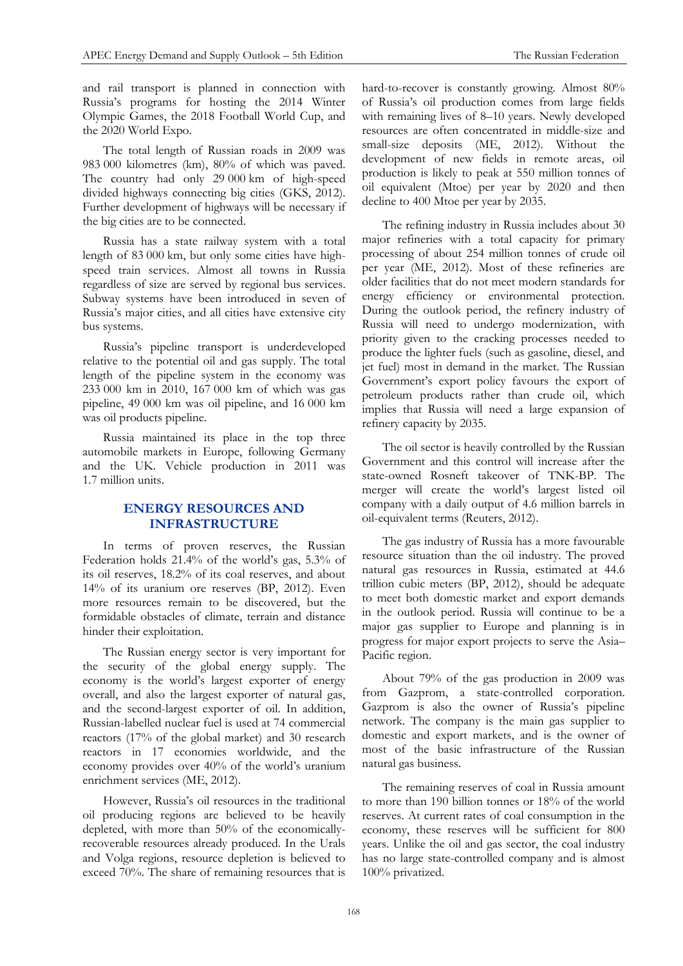and rail transport is planned in connection with Russia's programs for hosting the 2014 Winter Olympic Games, the 2018 Football World Cup, and the 2020 World Expo.

The total length of Russian roads in 2009 was 983 000 kilometres (km), 80% of which was paved. The country had only 29 000 km of high-speed divided highways connecting big cities (GKS, 2012). Further development of highways will be necessary if the big cities are to be connected.

Russia has a state railway system with a total length of 83 000 km, but only some cities have highspeed train services. Almost all towns in Russia regardless of size are served by regional bus services. Subway systems have been introduced in seven of Russia's major cities, and all cities have extensive city bus systems.

Russia's pipeline transport is underdeveloped relative to the potential oil and gas supply. The total length of the pipeline system in the economy was 233 000 km in 2010, 167 000 km of which was gas pipeline, 49 000 km was oil pipeline, and 16 000 km was oil products pipeline.

Russia maintained its place in the top three automobile markets in Europe, following Germany and the UK. Vehicle production in 2011 was 1.7 million units.

# **ENERGY RESOURCES AND INFRASTRUCTURE**

In terms of proven reserves, the Russian Federation holds 21.4% of the world's gas, 5.3% of its oil reserves, 18.2% of its coal reserves, and about 14% of its uranium ore reserves (BP, 2012). Even more resources remain to be discovered, but the formidable obstacles of climate, terrain and distance hinder their exploitation.

The Russian energy sector is very important for the security of the global energy supply. The economy is the world's largest exporter of energy overall, and also the largest exporter of natural gas, and the second-largest exporter of oil. In addition, Russian-labelled nuclear fuel is used at 74 commercial reactors (17% of the global market) and 30 research reactors in 17 economies worldwide, and the economy provides over 40% of the world's uranium enrichment services (ME, 2012).

However, Russia's oil resources in the traditional oil producing regions are believed to be heavily depleted, with more than 50% of the economicallyrecoverable resources already produced. In the Urals and Volga regions, resource depletion is believed to exceed 70%. The share of remaining resources that is

hard-to-recover is constantly growing. Almost 80% of Russia's oil production comes from large fields with remaining lives of 8–10 years. Newly developed resources are often concentrated in middle-size and small-size deposits (ME, 2012). Without the development of new fields in remote areas, oil production is likely to peak at 550 million tonnes of oil equivalent (Mtoe) per year by 2020 and then decline to 400 Mtoe per year by 2035.

The refining industry in Russia includes about 30 major refineries with a total capacity for primary processing of about 254 million tonnes of crude oil per year (ME, 2012). Most of these refineries are older facilities that do not meet modern standards for energy efficiency or environmental protection. During the outlook period, the refinery industry of Russia will need to undergo modernization, with priority given to the cracking processes needed to produce the lighter fuels (such as gasoline, diesel, and jet fuel) most in demand in the market. The Russian Government's export policy favours the export of petroleum products rather than crude oil, which implies that Russia will need a large expansion of refinery capacity by 2035.

The oil sector is heavily controlled by the Russian Government and this control will increase after the state-owned Rosneft takeover of TNK-BP. The merger will create the world's largest listed oil company with a daily output of 4.6 million barrels in oil-equivalent terms (Reuters, 2012).

The gas industry of Russia has a more favourable resource situation than the oil industry. The proved natural gas resources in Russia, estimated at 44.6 trillion cubic meters (BP, 2012), should be adequate to meet both domestic market and export demands in the outlook period. Russia will continue to be a major gas supplier to Europe and planning is in progress for major export projects to serve the Asia– Pacific region.

About 79% of the gas production in 2009 was from Gazprom, a state-controlled corporation. Gazprom is also the owner of Russia's pipeline network. The company is the main gas supplier to domestic and export markets, and is the owner of most of the basic infrastructure of the Russian natural gas business.

The remaining reserves of coal in Russia amount to more than 190 billion tonnes or 18% of the world reserves. At current rates of coal consumption in the economy, these reserves will be sufficient for 800 years. Unlike the oil and gas sector, the coal industry has no large state-controlled company and is almost 100% privatized.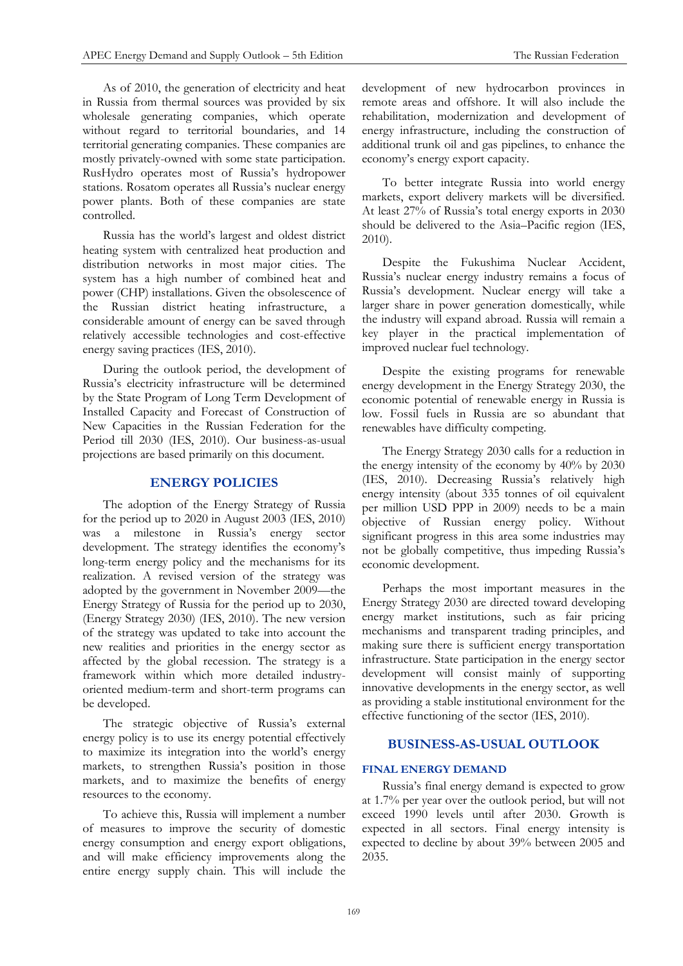As of 2010, the generation of electricity and heat in Russia from thermal sources was provided by six wholesale generating companies, which operate without regard to territorial boundaries, and 14 territorial generating companies. These companies are mostly privately-owned with some state participation. RusHydro operates most of Russia's hydropower stations. Rosatom operates all Russia's nuclear energy power plants. Both of these companies are state controlled.

Russia has the world's largest and oldest district heating system with centralized heat production and distribution networks in most major cities. The system has a high number of combined heat and power (CHP) installations. Given the obsolescence of the Russian district heating infrastructure, a considerable amount of energy can be saved through relatively accessible technologies and cost-effective energy saving practices (IES, 2010).

During the outlook period, the development of Russia's electricity infrastructure will be determined by the State Program of Long Term Development of Installed Capacity and Forecast of Construction of New Capacities in the Russian Federation for the Period till 2030 (IES, 2010). Our business-as-usual projections are based primarily on this document.

# **ENERGY POLICIES**

The adoption of the Energy Strategy of Russia for the period up to 2020 in August 2003 (IES, 2010) was a milestone in Russia's energy sector development. The strategy identifies the economy's long-term energy policy and the mechanisms for its realization. A revised version of the strategy was adopted by the government in November 2009—the Energy Strategy of Russia for the period up to 2030, (Energy Strategy 2030) (IES, 2010). The new version of the strategy was updated to take into account the new realities and priorities in the energy sector as affected by the global recession. The strategy is a framework within which more detailed industryoriented medium-term and short-term programs can be developed.

The strategic objective of Russia's external energy policy is to use its energy potential effectively to maximize its integration into the world's energy markets, to strengthen Russia's position in those markets, and to maximize the benefits of energy resources to the economy.

To achieve this, Russia will implement a number of measures to improve the security of domestic energy consumption and energy export obligations, and will make efficiency improvements along the entire energy supply chain. This will include the development of new hydrocarbon provinces in remote areas and offshore. It will also include the rehabilitation, modernization and development of energy infrastructure, including the construction of additional trunk oil and gas pipelines, to enhance the economy's energy export capacity.

To better integrate Russia into world energy markets, export delivery markets will be diversified. At least 27% of Russia's total energy exports in 2030 should be delivered to the Asia–Pacific region (IES, 2010).

Despite the Fukushima Nuclear Accident, Russia's nuclear energy industry remains a focus of Russia's development. Nuclear energy will take a larger share in power generation domestically, while the industry will expand abroad. Russia will remain a key player in the practical implementation of improved nuclear fuel technology.

Despite the existing programs for renewable energy development in the Energy Strategy 2030, the economic potential of renewable energy in Russia is low. Fossil fuels in Russia are so abundant that renewables have difficulty competing.

The Energy Strategy 2030 calls for a reduction in the energy intensity of the economy by 40% by 2030 (IES, 2010). Decreasing Russia's relatively high energy intensity (about 335 tonnes of oil equivalent per million USD PPP in 2009) needs to be a main objective of Russian energy policy. Without significant progress in this area some industries may not be globally competitive, thus impeding Russia's economic development.

Perhaps the most important measures in the Energy Strategy 2030 are directed toward developing energy market institutions, such as fair pricing mechanisms and transparent trading principles, and making sure there is sufficient energy transportation infrastructure. State participation in the energy sector development will consist mainly of supporting innovative developments in the energy sector, as well as providing a stable institutional environment for the effective functioning of the sector (IES, 2010).

## **BUSINESS-AS-USUAL OUTLOOK**

#### **FINAL ENERGY DEMAND**

Russia's final energy demand is expected to grow at 1.7% per year over the outlook period, but will not exceed 1990 levels until after 2030. Growth is expected in all sectors. Final energy intensity is expected to decline by about 39% between 2005 and 2035.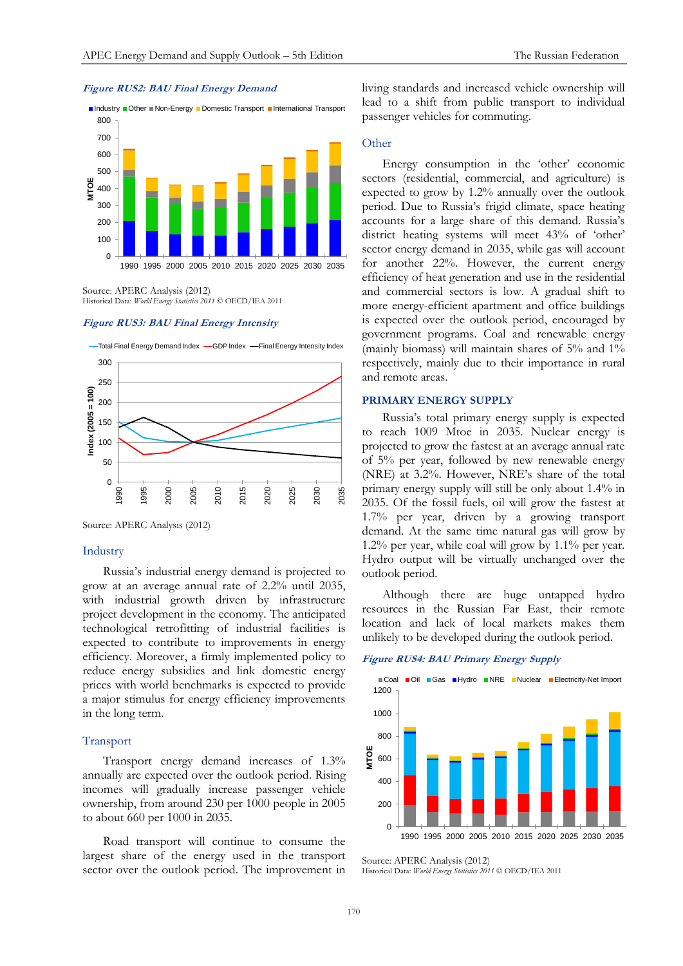



Source: APERC Analysis (2012) Historical Data: *World Energy Statistics 2011* © OECD/IEA 2011

#### **Figure RUS3: BAU Final Energy Intensity**



Source: APERC Analysis (2012)

#### Industry

Russia's industrial energy demand is projected to grow at an average annual rate of 2.2% until 2035, with industrial growth driven by infrastructure project development in the economy. The anticipated technological retrofitting of industrial facilities is expected to contribute to improvements in energy efficiency. Moreover, a firmly implemented policy to reduce energy subsidies and link domestic energy prices with world benchmarks is expected to provide a major stimulus for energy efficiency improvements in the long term.

#### Transport

Transport energy demand increases of 1.3% annually are expected over the outlook period. Rising incomes will gradually increase passenger vehicle ownership, from around 230 per 1000 people in 2005 to about 660 per 1000 in 2035.

Road transport will continue to consume the largest share of the energy used in the transport sector over the outlook period. The improvement in

living standards and increased vehicle ownership will lead to a shift from public transport to individual passenger vehicles for commuting.

## **Other**

Energy consumption in the 'other' economic sectors (residential, commercial, and agriculture) is expected to grow by 1.2% annually over the outlook period. Due to Russia's frigid climate, space heating accounts for a large share of this demand. Russia's district heating systems will meet 43% of 'other' sector energy demand in 2035, while gas will account for another 22%. However, the current energy efficiency of heat generation and use in the residential and commercial sectors is low. A gradual shift to more energy-efficient apartment and office buildings is expected over the outlook period, encouraged by government programs. Coal and renewable energy (mainly biomass) will maintain shares of 5% and 1% respectively, mainly due to their importance in rural and remote areas.

### **PRIMARY ENERGY SUPPLY**

Russia's total primary energy supply is expected to reach 1009 Mtoe in 2035. Nuclear energy is projected to grow the fastest at an average annual rate of 5% per year, followed by new renewable energy (NRE) at 3.2%. However, NRE's share of the total primary energy supply will still be only about 1.4% in 2035. Of the fossil fuels, oil will grow the fastest at 1.7% per year, driven by a growing transport demand. At the same time natural gas will grow by 1.2% per year, while coal will grow by 1.1% per year. Hydro output will be virtually unchanged over the outlook period.

Although there are huge untapped hydro resources in the Russian Far East, their remote location and lack of local markets makes them unlikely to be developed during the outlook period.

#### **Figure RUS4: BAU Primary Energy Supply**



Source: APERC Analysis (2012)

Historical Data: *World Energy Statistics 2011* © OECD/IEA 2011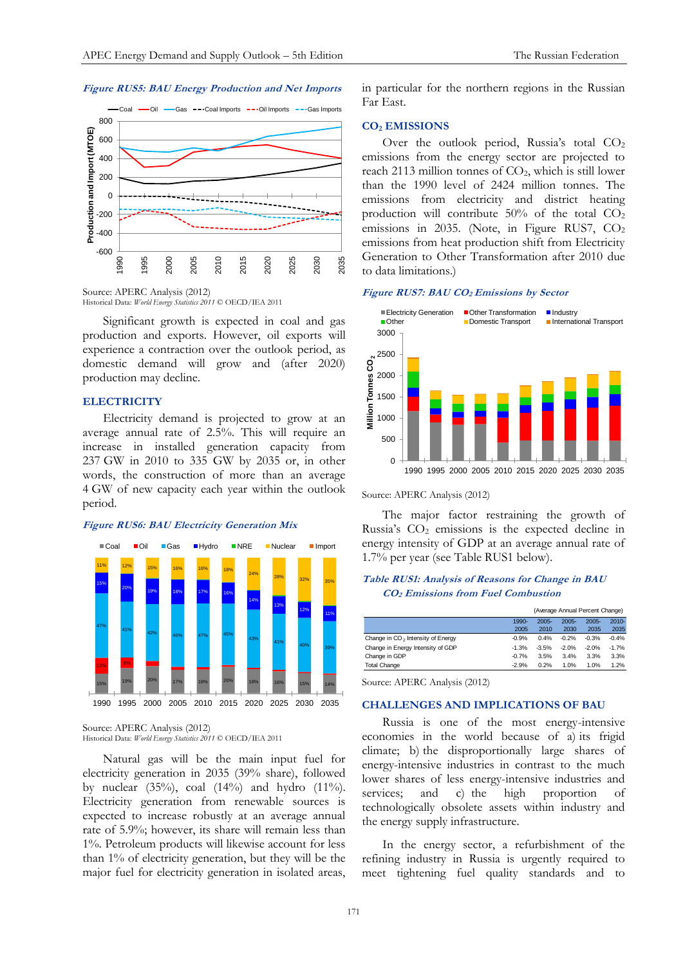## **Figure RUS5: BAU Energy Production and Net Imports**



Source: APERC Analysis (2012)

Historical Data: *World Energy Statistics 2011* © OECD/IEA 2011

Significant growth is expected in coal and gas production and exports. However, oil exports will experience a contraction over the outlook period, as domestic demand will grow and (after 2020) production may decline.

#### **ELECTRICITY**

Electricity demand is projected to grow at an average annual rate of 2.5%. This will require an increase in installed generation capacity from 237 GW in 2010 to 335 GW by 2035 or, in other words, the construction of more than an average 4 GW of new capacity each year within the outlook period.

#### **Figure RUS6: BAU Electricity Generation Mix**



Source: APERC Analysis (2012)

Historical Data: *World Energy Statistics 2011* © OECD/IEA 2011

Natural gas will be the main input fuel for electricity generation in 2035 (39% share), followed by nuclear  $(35\%)$ , coal  $(14\%)$  and hydro  $(11\%)$ . Electricity generation from renewable sources is expected to increase robustly at an average annual rate of 5.9%; however, its share will remain less than 1%. Petroleum products will likewise account for less than 1% of electricity generation, but they will be the major fuel for electricity generation in isolated areas,

in particular for the northern regions in the Russian Far East.

## **CO<sup>2</sup> EMISSIONS**

Over the outlook period, Russia's total CO<sub>2</sub> emissions from the energy sector are projected to reach 2113 million tonnes of CO2, which is still lower than the 1990 level of 2424 million tonnes. The emissions from electricity and district heating production will contribute 50% of the total CO<sup>2</sup> emissions in 2035. (Note, in Figure RUS7,  $CO<sub>2</sub>$ emissions from heat production shift from Electricity Generation to Other Transformation after 2010 due to data limitations.)

#### **Figure RUS7: BAU CO2 Emissions by Sector**



Source: APERC Analysis (2012)

The major factor restraining the growth of Russia's  $CO<sub>2</sub>$  emissions is the expected decline in energy intensity of GDP at an average annual rate of 1.7% per year (see Table RUS1 below).

## **Table RUS1: Analysis of Reasons for Change in BAU CO2 Emissions from Fuel Combustion**

|                                               |         | (Average Annual Percent Change) |          |          |          |
|-----------------------------------------------|---------|---------------------------------|----------|----------|----------|
|                                               | 1990-   | $2005 -$                        | $2005 -$ | $2005 -$ | $2010 -$ |
|                                               | 2005    | 2010                            | 2030     | 2035     | 2035     |
| Change in CO <sub>2</sub> Intensity of Energy | $-0.9%$ | 0.4%                            | $-0.2%$  | $-0.3%$  | $-0.4%$  |
| Change in Energy Intensity of GDP             | $-1.3%$ | $-3.5%$                         | $-2.0%$  | $-2.0%$  | $-1.7%$  |
| Change in GDP                                 | $-0.7%$ | 3.5%                            | 3.4%     | 3.3%     | 3.3%     |
| <b>Total Change</b>                           | $-2.9%$ | 0.2%                            | 1.0%     | 1.0%     | 1.2%     |
|                                               |         |                                 |          |          |          |

Source: APERC Analysis (2012)

#### **CHALLENGES AND IMPLICATIONS OF BAU**

Russia is one of the most energy-intensive economies in the world because of a) its frigid climate; b) the disproportionally large shares of energy-intensive industries in contrast to the much lower shares of less energy-intensive industries and services; and c) the high proportion of technologically obsolete assets within industry and the energy supply infrastructure.

In the energy sector, a refurbishment of the refining industry in Russia is urgently required to meet tightening fuel quality standards and to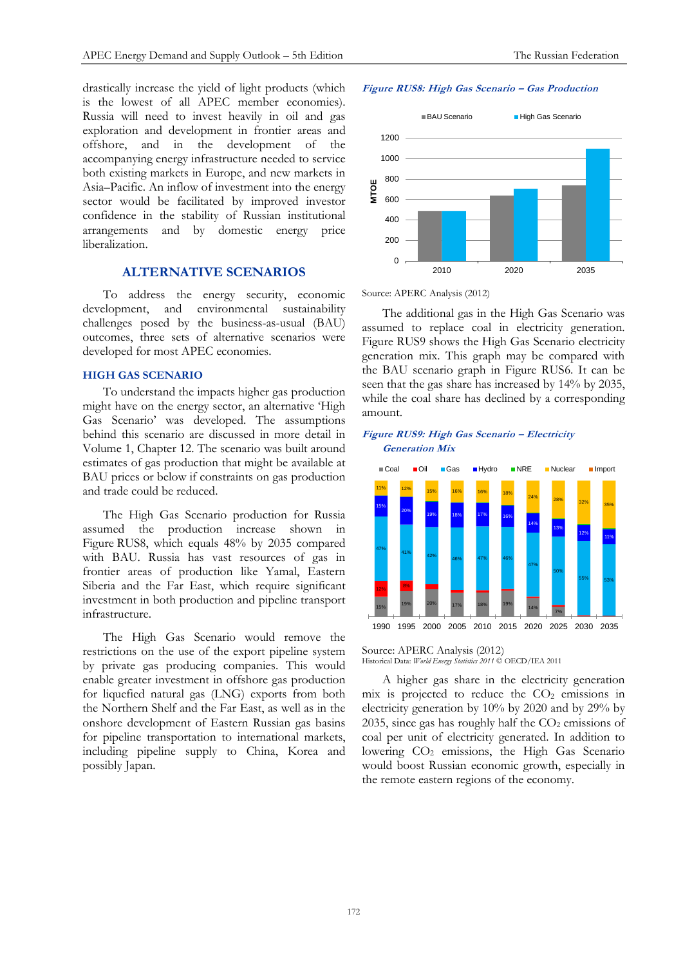drastically increase the yield of light products (which is the lowest of all APEC member economies). Russia will need to invest heavily in oil and gas exploration and development in frontier areas and offshore, and in the development of the accompanying energy infrastructure needed to service both existing markets in Europe, and new markets in Asia–Pacific. An inflow of investment into the energy sector would be facilitated by improved investor confidence in the stability of Russian institutional arrangements and by domestic energy price liberalization.

## **ALTERNATIVE SCENARIOS**

To address the energy security, economic development, and environmental sustainability challenges posed by the business-as-usual (BAU) outcomes, three sets of alternative scenarios were developed for most APEC economies.

## **HIGH GAS SCENARIO**

To understand the impacts higher gas production might have on the energy sector, an alternative 'High Gas Scenario' was developed. The assumptions behind this scenario are discussed in more detail in Volume 1, Chapter 12. The scenario was built around estimates of gas production that might be available at BAU prices or below if constraints on gas production and trade could be reduced.

The High Gas Scenario production for Russia assumed the production increase shown in Figure RUS8, which equals 48% by 2035 compared with BAU. Russia has vast resources of gas in frontier areas of production like Yamal, Eastern Siberia and the Far East, which require significant investment in both production and pipeline transport infrastructure.

The High Gas Scenario would remove the restrictions on the use of the export pipeline system by private gas producing companies. This would enable greater investment in offshore gas production for liquefied natural gas (LNG) exports from both the Northern Shelf and the Far East, as well as in the onshore development of Eastern Russian gas basins for pipeline transportation to international markets, including pipeline supply to China, Korea and possibly Japan.





Source: APERC Analysis (2012)

The additional gas in the High Gas Scenario was assumed to replace coal in electricity generation. Figure RUS9 shows the High Gas Scenario electricity generation mix. This graph may be compared with the BAU scenario graph in Figure RUS6. It can be seen that the gas share has increased by 14% by 2035, while the coal share has declined by a corresponding amount.

## **Figure RUS9: High Gas Scenario – Electricity Generation Mix**



Source: APERC Analysis (2012)

Historical Data: *World Energy Statistics 2011* © OECD/IEA 2011

A higher gas share in the electricity generation  $mix$  is projected to reduce the  $CO<sub>2</sub>$  emissions in electricity generation by 10% by 2020 and by 29% by 2035, since gas has roughly half the  $CO<sub>2</sub>$  emissions of coal per unit of electricity generated. In addition to lowering CO<sub>2</sub> emissions, the High Gas Scenario would boost Russian economic growth, especially in the remote eastern regions of the economy.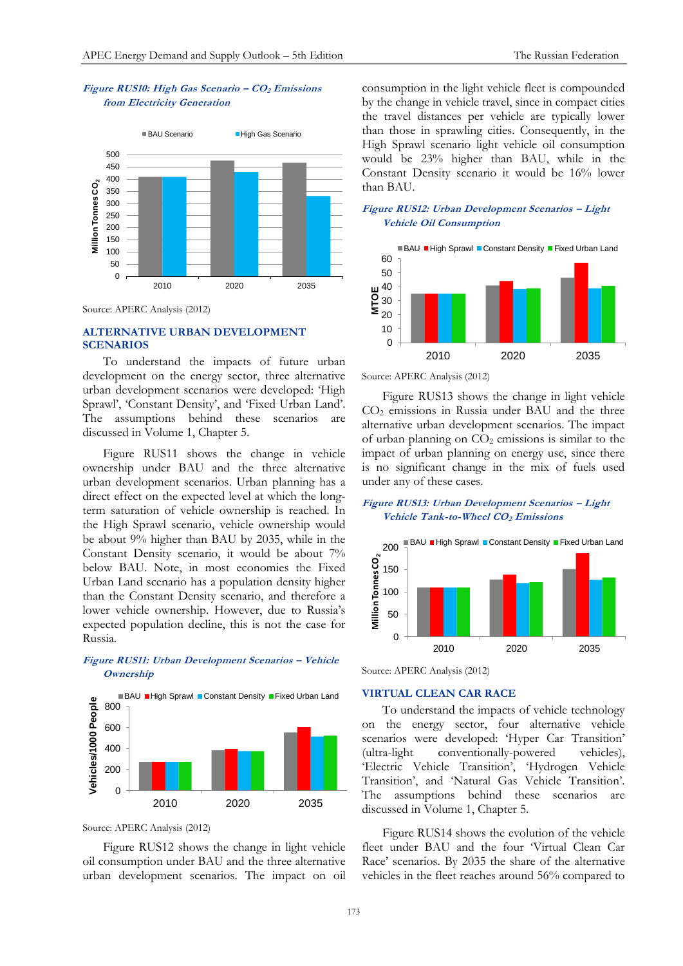## **Figure RUS10: High Gas Scenario – CO<sup>2</sup> Emissions from Electricity Generation**



Source: APERC Analysis (2012)

## **ALTERNATIVE URBAN DEVELOPMENT SCENARIOS**

To understand the impacts of future urban development on the energy sector, three alternative urban development scenarios were developed: 'High Sprawl', 'Constant Density', and 'Fixed Urban Land'. The assumptions behind these scenarios are discussed in Volume 1, Chapter 5.

Figure RUS11 shows the change in vehicle ownership under BAU and the three alternative urban development scenarios. Urban planning has a direct effect on the expected level at which the longterm saturation of vehicle ownership is reached. In the High Sprawl scenario, vehicle ownership would be about 9% higher than BAU by 2035, while in the Constant Density scenario, it would be about 7% below BAU. Note, in most economies the Fixed Urban Land scenario has a population density higher than the Constant Density scenario, and therefore a lower vehicle ownership. However, due to Russia's expected population decline, this is not the case for Russia.

## **Figure RUS11: Urban Development Scenarios – Vehicle Ownership**



Source: APERC Analysis (2012)

Figure RUS12 shows the change in light vehicle oil consumption under BAU and the three alternative urban development scenarios. The impact on oil

consumption in the light vehicle fleet is compounded by the change in vehicle travel, since in compact cities the travel distances per vehicle are typically lower than those in sprawling cities. Consequently, in the High Sprawl scenario light vehicle oil consumption would be 23% higher than BAU, while in the Constant Density scenario it would be 16% lower than BAU.

## **Figure RUS12: Urban Development Scenarios – Light Vehicle Oil Consumption**



Source: APERC Analysis (2012)

Figure RUS13 shows the change in light vehicle CO<sup>2</sup> emissions in Russia under BAU and the three alternative urban development scenarios. The impact of urban planning on  $CO<sub>2</sub>$  emissions is similar to the impact of urban planning on energy use, since there is no significant change in the mix of fuels used under any of these cases.

## **Figure RUS13: Urban Development Scenarios – Light Vehicle Tank-to-Wheel CO2 Emissions**



Source: APERC Analysis (2012)

### **VIRTUAL CLEAN CAR RACE**

To understand the impacts of vehicle technology on the energy sector, four alternative vehicle scenarios were developed: 'Hyper Car Transition' (ultra-light conventionally-powered vehicles), 'Electric Vehicle Transition', 'Hydrogen Vehicle Transition', and 'Natural Gas Vehicle Transition'. The assumptions behind these scenarios are discussed in Volume 1, Chapter 5.

Figure RUS14 shows the evolution of the vehicle fleet under BAU and the four 'Virtual Clean Car Race' scenarios. By 2035 the share of the alternative vehicles in the fleet reaches around 56% compared to